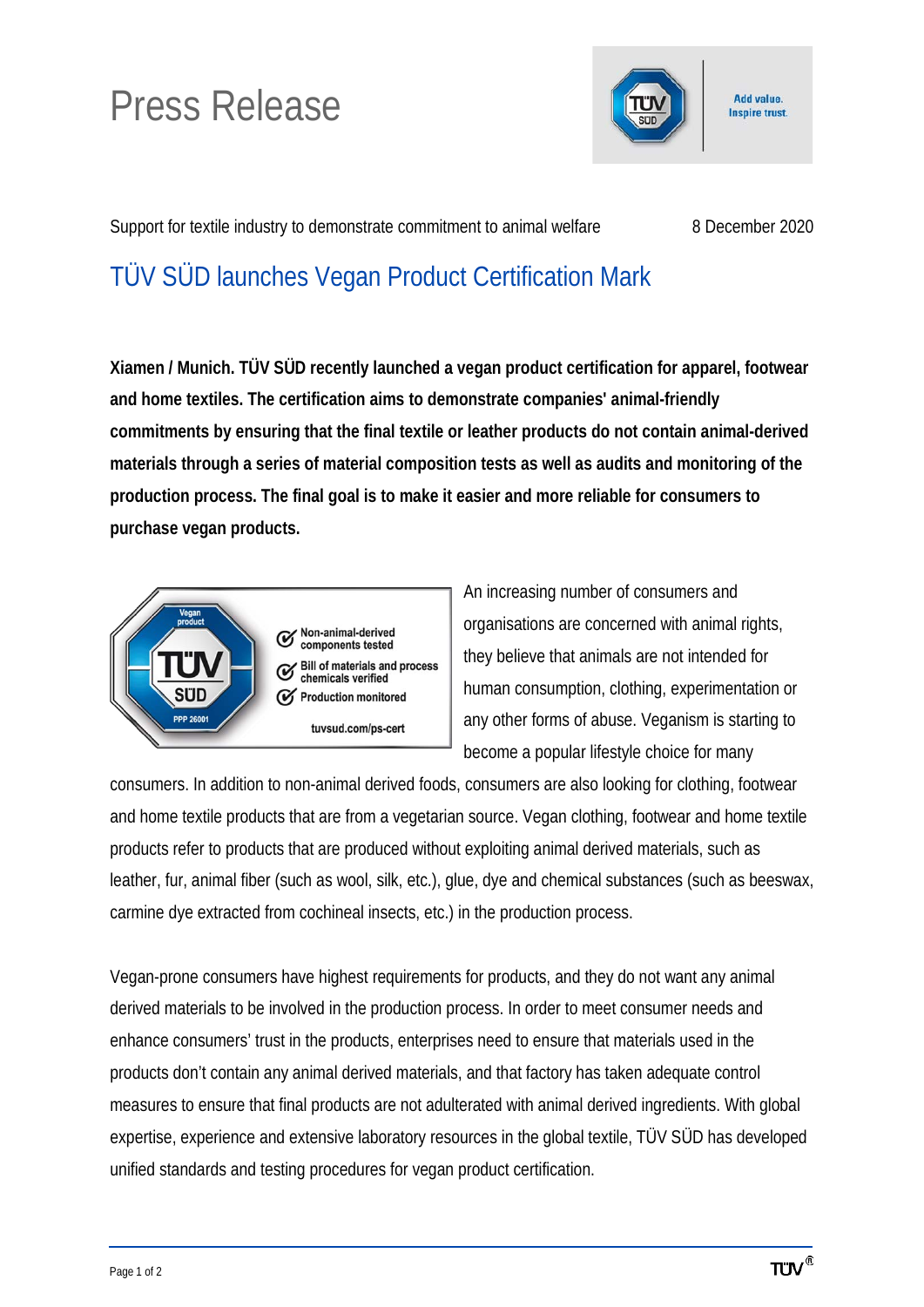## Press Release



Support for textile industry to demonstrate commitment to animal welfare 8 December 2020

Add value. **Inspire trust.** 

## TÜV SÜD launches Vegan Product Certification Mark

**Xiamen / Munich. TÜV SÜD recently launched a vegan product certification for apparel, footwear and home textiles. The certification aims to demonstrate companies' animal-friendly commitments by ensuring that the final textile or leather products do not contain animal-derived materials through a series of material composition tests as well as audits and monitoring of the production process. The final goal is to make it easier and more reliable for consumers to purchase vegan products.**



An increasing number of consumers and organisations are concerned with animal rights, they believe that animals are not intended for human consumption, clothing, experimentation or any other forms of abuse. Veganism is starting to become a popular lifestyle choice for many

consumers. In addition to non-animal derived foods, consumers are also looking for clothing, footwear and home textile products that are from a vegetarian source. Vegan clothing, footwear and home textile products refer to products that are produced without exploiting animal derived materials, such as leather, fur, animal fiber (such as wool, silk, etc.), glue, dye and chemical substances (such as beeswax, carmine dye extracted from cochineal insects, etc.) in the production process.

Vegan-prone consumers have highest requirements for products, and they do not want any animal derived materials to be involved in the production process. In order to meet consumer needs and enhance consumers' trust in the products, enterprises need to ensure that materials used in the products don't contain any animal derived materials, and that factory has taken adequate control measures to ensure that final products are not adulterated with animal derived ingredients. With global expertise, experience and extensive laboratory resources in the global textile, TÜV SÜD has developed unified standards and testing procedures for vegan product certification.